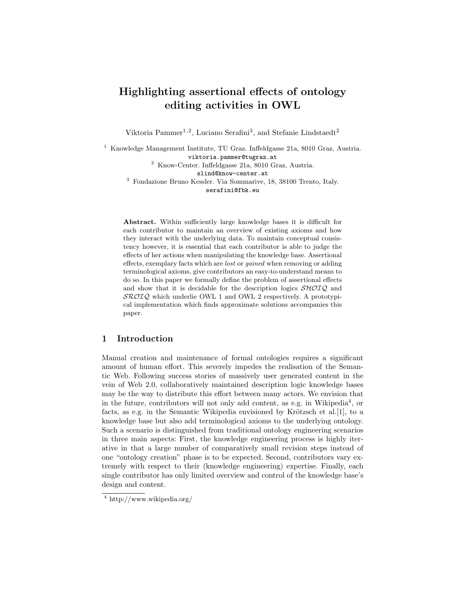# Highlighting assertional effects of ontology editing activities in OWL

Viktoria Pammer<sup>1,2</sup>, Luciano Serafini<sup>3</sup>, and Stefanie Lindstaedt<sup>2</sup>

<sup>1</sup> Knowledge Management Institute, TU Graz. Inffeldgasse 21a, 8010 Graz, Austria.

viktoria.pammer@tugraz.at

<sup>2</sup> Know-Center. Inffeldgasse 21a, 8010 Graz, Austria.

slind@know-center.at

<sup>3</sup> Fondazione Bruno Kessler. Via Sommarive, 18, 38100 Trento, Italy. serafini@fbk.eu

Abstract. Within sufficiently large knowledge bases it is difficult for each contributor to maintain an overview of existing axioms and how they interact with the underlying data. To maintain conceptual consistency however, it is essential that each contributor is able to judge the effects of her actions when manipulating the knowledge base. Assertional effects, exemplary facts which are *lost* or *gained* when removing or adding terminological axioms, give contributors an easy-to-understand means to do so. In this paper we formally define the problem of assertional effects and show that it is decidable for the description logics  $\mathcal{SHOIQ}$  and  $\mathcal{SROIQ}$  which underlie OWL 1 and OWL 2 respectively. A prototypical implementation which finds approximate solutions accompanies this paper.

# 1 Introduction

Manual creation and maintenance of formal ontologies requires a significant amount of human effort. This severely impedes the realisation of the Semantic Web. Following success stories of massively user generated content in the vein of Web 2.0, collaboratively maintained description logic knowledge bases may be the way to distribute this effort between many actors. We envision that in the future, contributors will not only add content, as e.g. in Wikipedia<sup>4</sup>, or facts, as e.g. in the Semantic Wikipedia envisioned by Krötzsch et al.[1], to a knowledge base but also add terminological axioms to the underlying ontology. Such a scenario is distinguished from traditional ontology engineering scenarios in three main aspects: First, the knowledge engineering process is highly iterative in that a large number of comparatively small revision steps instead of one "ontology creation" phase is to be expected. Second, contributors vary extremely with respect to their (knowledge engineering) expertise. Finally, each single contributor has only limited overview and control of the knowledge base's design and content.

<sup>4</sup> http://www.wikipedia.org/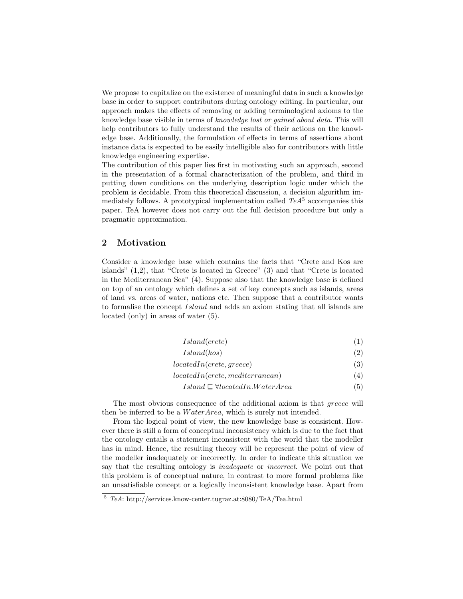We propose to capitalize on the existence of meaningful data in such a knowledge base in order to support contributors during ontology editing. In particular, our approach makes the effects of removing or adding terminological axioms to the knowledge base visible in terms of knowledge lost or gained about data. This will help contributors to fully understand the results of their actions on the knowledge base. Additionally, the formulation of effects in terms of assertions about instance data is expected to be easily intelligible also for contributors with little knowledge engineering expertise.

The contribution of this paper lies first in motivating such an approach, second in the presentation of a formal characterization of the problem, and third in putting down conditions on the underlying description logic under which the problem is decidable. From this theoretical discussion, a decision algorithm immediately follows. A prototypical implementation called  $TeA<sup>5</sup>$  accompanies this paper. TeA however does not carry out the full decision procedure but only a pragmatic approximation.

# 2 Motivation

Consider a knowledge base which contains the facts that "Crete and Kos are islands" (1,2), that "Crete is located in Greece" (3) and that "Crete is located in the Mediterranean Sea" (4). Suppose also that the knowledge base is defined on top of an ontology which defines a set of key concepts such as islands, areas of land vs. areas of water, nations etc. Then suppose that a contributor wants to formalise the concept Island and adds an axiom stating that all islands are located (only) in areas of water (5).

| Island(crete) |
|---------------|
|---------------|

| (2)<br>Island(kos) |  |
|--------------------|--|
|                    |  |

- $locatedIn(crete,greece)$  (3)
- $locatedIn(crete, mediterranean)$  (4)
	- $Island \sqsubseteq \forall locatedIn.WaterArea$  (5)

The most obvious consequence of the additional axiom is that greece will then be inferred to be a  $WaterArea$ , which is surely not intended.

From the logical point of view, the new knowledge base is consistent. However there is still a form of conceptual inconsistency which is due to the fact that the ontology entails a statement inconsistent with the world that the modeller has in mind. Hence, the resulting theory will be represent the point of view of the modeller inadequately or incorrectly. In order to indicate this situation we say that the resulting ontology is *inadequate* or *incorrect*. We point out that this problem is of conceptual nature, in contrast to more formal problems like an unsatisfiable concept or a logically inconsistent knowledge base. Apart from

<sup>5</sup> *TeA*: http://services.know-center.tugraz.at:8080/TeA/Tea.html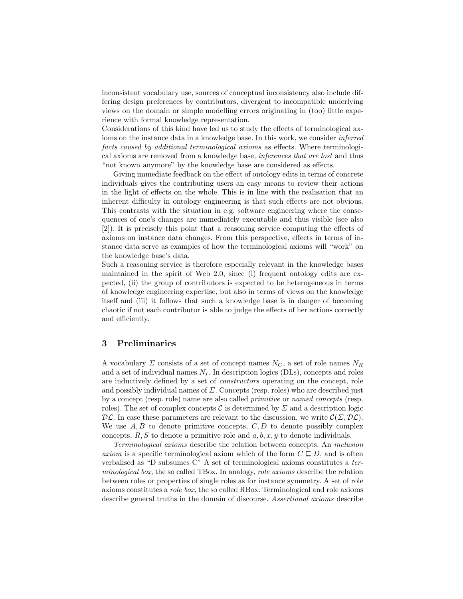inconsistent vocabulary use, sources of conceptual inconsistency also include differing design preferences by contributors, divergent to incompatible underlying views on the domain or simple modelling errors originating in (too) little experience with formal knowledge representation.

Considerations of this kind have led us to study the effects of terminological axioms on the instance data in a knowledge base. In this work, we consider inferred facts caused by additional terminological axioms as effects. Where terminological axioms are removed from a knowledge base, inferences that are lost and thus "not known anymore" by the knowledge base are considered as effects.

Giving immediate feedback on the effect of ontology edits in terms of concrete individuals gives the contributing users an easy means to review their actions in the light of effects on the whole. This is in line with the realisation that an inherent difficulty in ontology engineering is that such effects are not obvious. This contrasts with the situation in e.g. software engineering where the consequences of one's changes are immediately executable and thus visible (see also [2]). It is precisely this point that a reasoning service computing the effects of axioms on instance data changes. From this perspective, effects in terms of instance data serve as examples of how the terminological axioms will "work" on the knowledge base's data.

Such a reasoning service is therefore especially relevant in the knowledge bases maintained in the spirit of Web 2.0, since (i) frequent ontology edits are expected, (ii) the group of contributors is expected to be heterogeneous in terms of knowledge engineering expertise, but also in terms of views on the knowledge itself and (iii) it follows that such a knowledge base is in danger of becoming chaotic if not each contributor is able to judge the effects of her actions correctly and efficiently.

## 3 Preliminaries

A vocabulary  $\Sigma$  consists of a set of concept names  $N_C$ , a set of role names  $N_R$ and a set of individual names  $N_I$ . In description logics (DLs), concepts and roles are inductively defined by a set of constructors operating on the concept, role and possibly individual names of  $\Sigma$ . Concepts (resp. roles) who are described just by a concept (resp. role) name are also called primitive or named concepts (resp. roles). The set of complex concepts  $\mathcal C$  is determined by  $\Sigma$  and a description logic  $\mathcal{DL}$ . In case these parameters are relevant to the discussion, we write  $\mathcal{C}(\Sigma, \mathcal{DL})$ . We use  $A, B$  to denote primitive concepts,  $C, D$  to denote possibly complex concepts,  $R, S$  to denote a primitive role and  $a, b, x, y$  to denote individuals.

Terminological axioms describe the relation between concepts. An inclusion axiom is a specific terminological axiom which of the form  $C \subseteq D$ , and is often verbalised as "D subsumes C" A set of terminological axioms constitutes a terminological box, the so called TBox. In analogy, role axioms describe the relation between roles or properties of single roles as for instance symmetry. A set of role axioms constitutes a role box, the so called RBox. Terminological and role axioms describe general truths in the domain of discourse. Assertional axioms describe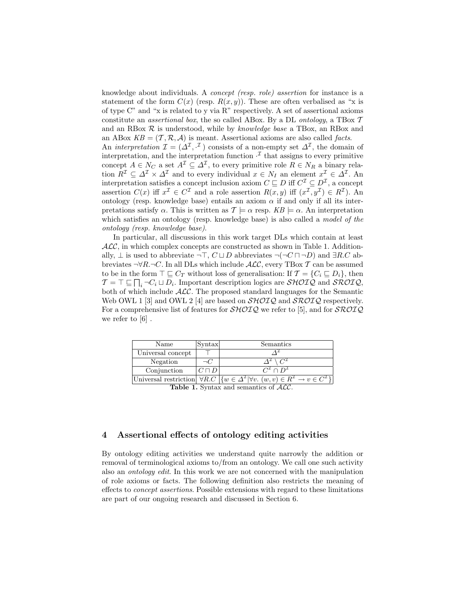knowledge about individuals. A concept (resp. role) assertion for instance is a statement of the form  $C(x)$  (resp.  $R(x, y)$ ). These are often verbalised as "x is of type  $C^{\prime\prime}$  and "x is related to y via R" respectively. A set of assertional axioms constitute an *assertional box*, the so called ABox. By a DL *ontology*, a TBox  $T$ and an RBox  $R$  is understood, while by knowledge base a TBox, an RBox and an ABox  $KB = (T, R, A)$  is meant. Assertional axioms are also called *facts*.

An *interpretation*  $\mathcal{I} = (\Delta^{\mathcal{I}}, \cdot^{\mathcal{I}})$  consists of a non-empty set  $\Delta^{\mathcal{I}}$ , the domain of interpretation, and the interpretation function  $\cdot^{\mathcal{I}}$  that assigns to every primitive concept  $A \in N_C$  a set  $A^{\mathcal{I}} \subseteq \Delta^{\mathcal{I}}$ , to every primitive role  $R \in N_R$  a binary relation  $R^{\mathcal{I}} \subseteq \Delta^{\mathcal{I}} \times \Delta^{\mathcal{I}}$  and to every individual  $x \in N_I$  an element  $x^{\mathcal{I}} \in \tilde{\Delta}^{\mathcal{I}}$ . An interpretation satisfies a concept inclusion axiom  $C \sqsubseteq D$  iff  $C^{\mathcal{I}} \subseteq D^{\mathcal{I}}$ , a concept assertion  $C(x)$  iff  $x^{\mathcal{I}} \in C^{\mathcal{I}}$  and a role assertion  $R(x, y)$  iff  $(x^{\mathcal{I}}, y^{\mathcal{I}}) \in R^{\mathcal{I}}$ ). An ontology (resp. knowledge base) entails an axiom  $\alpha$  if and only if all its interpretations satisfy  $\alpha$ . This is written as  $\mathcal{T} \models \alpha$  resp.  $KB \models \alpha$ . An interpretation which satisfies an ontology (resp. knowledge base) is also called a *model of the* ontology (resp. knowledge base).

In particular, all discussions in this work target DLs which contain at least  $\mathcal{ALC}$ , in which complex concepts are constructed as shown in Table 1. Additionally,  $\perp$  is used to abbreviate  $\neg\top$ ,  $C \sqcup D$  abbreviates  $\neg(\neg C \sqcap \neg D)$  and  $\exists R.C$  abbreviates  $\neg \forall R.\neg C$ . In all DLs which include  $\mathcal{ALC}$ , every TBox T can be assumed to be in the form  $\top \sqsubseteq C_T$  without loss of generalisation: If  $\mathcal{T} = \{C_i \sqsubseteq D_i\}$ , then  $\mathcal{T} = \top \sqsubseteq \prod_i \neg C_i \sqcup D_i$ . Important description logics are  $\mathcal{SHOLQ}$  and  $\mathcal{SROIQ}$ , both of which include ALC. The proposed standard languages for the Semantic Web OWL 1 [3] and OWL 2 [4] are based on  $\mathcal{SHOIO}$  and  $\mathcal{SROIO}$  respectively. For a comprehensive list of features for  $\mathcal{SHOLQ}$  we refer to [5], and for  $\mathcal{SROIQ}$ we refer to  $[6]$ .

| Name              | <i>Syntax</i> | Semantics                                                                                                                                              |
|-------------------|---------------|--------------------------------------------------------------------------------------------------------------------------------------------------------|
| Universal concept |               |                                                                                                                                                        |
| Negation          | コしこ           | $\Lambda^{\perp} \setminus C^{\perp}$                                                                                                                  |
| Conjunction       | $C\sqcap D$   | $C^{\mathcal{I}}\cap D^{\mathcal{I}}$                                                                                                                  |
|                   |               | Universal restriction $\forall R.C \mid \{w \in \Delta^{\mathcal{I}}   \forall v. (w, v) \in R^{\mathcal{I}} \rightarrow v \in C^{\mathcal{I}} \}\mid$ |

Table 1. Syntax and semantics of  $ALC$ .

## 4 Assertional effects of ontology editing activities

By ontology editing activities we understand quite narrowly the addition or removal of terminological axioms to/from an ontology. We call one such activity also an ontology edit. In this work we are not concerned with the manipulation of role axioms or facts. The following definition also restricts the meaning of effects to concept assertions. Possible extensions with regard to these limitations are part of our ongoing research and discussed in Section 6.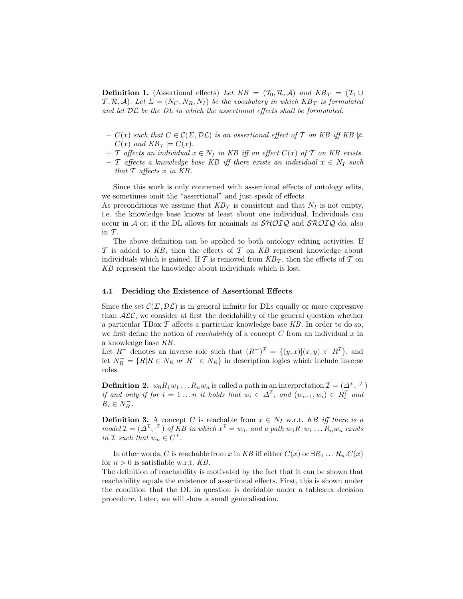**Definition 1.** (Assertional effects) Let  $KB = (T_0, R, A)$  and  $KB_T = (T_0 \cup$  $T, \mathcal{R}, \mathcal{A}$ ). Let  $\Sigma = (N_C, N_R, N_I)$  be the vocabulary in which  $KB_T$  is formulated and let  $D\mathcal{L}$  be the  $D\mathcal{L}$  in which the assertional effects shall be formulated.

- $C(x)$  such that  $C \in \mathcal{C}(\Sigma, \mathcal{DL})$  is an assertional effect of T on KB iff KB  $\not\models$  $C(x)$  and  $KB_T \models C(x)$ .
- $-$  T affects an individual  $x \in N_I$  in KB iff an effect  $C(x)$  of T on KB exists.
- T affects a knowledge base KB iff there exists an individual x ∈ N*<sup>I</sup>* such that  $\mathcal T$  affects  $x$  in KB.

Since this work is only concerned with assertional effects of ontology edits, we sometimes omit the "assertional" and just speak of effects.

As preconditions we assume that  $KB_T$  is consistent and that  $N_I$  is not empty, i.e. the knowledge base knows at least about one individual. Individuals can occur in A or, if the DL allows for nominals as  $\mathcal{SHOIQ}$  and  $\mathcal{SROIQ}$  do, also in  $T$ .

The above definition can be applied to both ontology editing activities. If  $\mathcal T$  is added to KB, then the effects of  $\mathcal T$  on KB represent knowledge about individuals which is gained. If  $\mathcal T$  is removed from  $KB_T$ , then the effects of  $\mathcal T$  on KB represent the knowledge about individuals which is lost.

#### 4.1 Deciding the Existence of Assertional Effects

Since the set  $\mathcal{C}(\Sigma, \mathcal{DL})$  is in general infinite for DLs equally or more expressive than  $ALC$ , we consider at first the decidability of the general question whether a particular TBox  $\mathcal T$  affects a particular knowledge base KB. In order to do so, we first define the notion of *reachability* of a concept  $C$  from an individual  $x$  in a knowledge base KB.

Let  $R^-$  denotes an inverse role such that  $(R^-)^{\mathcal{I}} = \{(y, x) | (x, y) \in R^{\mathcal{I}}\}$ , and let  $N_R^- = \{R | R \in N_R \text{ or } R^- \in N_R \}$  in description logics which include inverse roles.

**Definition 2.**  $w_0R_1w_1...R_nw_n$  is called a path in an interpretation  $\mathcal{I} = (\Delta^{\mathcal{I}}, \mathcal{I})$ if and only if for  $i = 1...n$  it holds that  $w_i \in \Delta^{\mathcal{I}}$ , and  $(w_{i-1}, w_i) \in R_i^{\mathcal{I}}$  and  $R_i \in N_R^-$ .

**Definition 3.** A concept C is reachable from  $x \in N_I$  w.r.t. KB iff there is a  $\text{model } \mathcal{I} = (\Delta^{\mathcal{I}}, \cdot^{\mathcal{I}}) \text{ of } KB \text{ in which } x^{\mathcal{I}} = w_0, \text{ and a path } w_0 R_1 w_1 \dots R_n w_n \text{ exists}$ in  $\mathcal I$  such that  $w_n \in C^{\mathcal I}$ .

In other words, C is reachable from x in KB iff either  $C(x)$  or  $\exists R_1 \dots R_n$ .  $C(x)$ for  $n > 0$  is satisfiable w.r.t. KB.

The definition of reachability is motivated by the fact that it can be shown that reachability equals the existence of assertional effects. First, this is shown under the condition that the DL in question is decidable under a tableaux decision procedure. Later, we will show a small generalisation.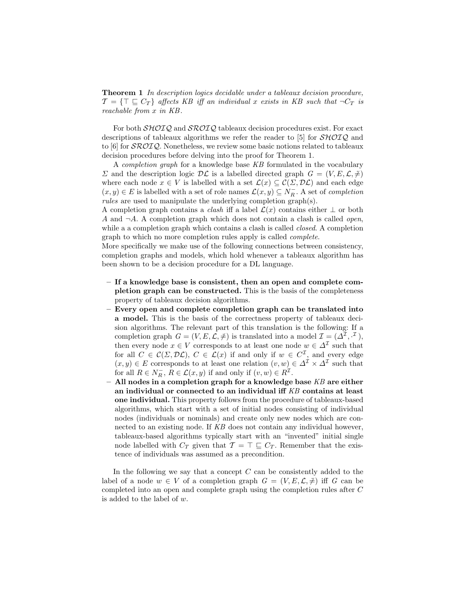**Theorem 1** In description logics decidable under a tableaux decision procedure,  $\mathcal{T} = {\top \sqsubseteq C_T}$  affects KB iff an individual x exists in KB such that  $\neg C_T$  is reachable from x in KB .

For both  $\mathcal{SHOIQ}$  and  $\mathcal{SROIQ}$  tableaux decision procedures exist. For exact descriptions of tableaux algorithms we refer the reader to [5] for  $\mathcal{SHOLQ}$  and to [6] for SROIQ. Nonetheless, we review some basic notions related to tableaux decision procedures before delving into the proof for Theorem 1.

A completion graph for a knowledge base KB formulated in the vocabulary  $\Sigma$  and the description logic  $D\mathcal{L}$  is a labelled directed graph  $G = (V, E, \mathcal{L}, \neq)$ where each node  $x \in V$  is labelled with a set  $\mathcal{L}(x) \subseteq \mathcal{C}(\Sigma, \mathcal{DL})$  and each edge  $(x, y) \in E$  is labelled with a set of role names  $\mathcal{L}(x, y) \subseteq N_R^-$ . A set of *completion* rules are used to manipulate the underlying completion graph(s).

A completion graph contains a *clash* iff a label  $\mathcal{L}(x)$  contains either  $\perp$  or both A and  $\neg A$ . A completion graph which does not contain a clash is called *open*, while a a completion graph which contains a clash is called *closed*. A completion graph to which no more completion rules apply is called complete.

More specifically we make use of the following connections between consistency, completion graphs and models, which hold whenever a tableaux algorithm has been shown to be a decision procedure for a DL language.

- If a knowledge base is consistent, then an open and complete completion graph can be constructed. This is the basis of the completeness property of tableaux decision algorithms.
- Every open and complete completion graph can be translated into a model. This is the basis of the correctness property of tableaux decision algorithms. The relevant part of this translation is the following: If a completion graph  $G = (V, E, \mathcal{L}, \neq)$  is translated into a model  $\mathcal{I} = (\Delta^{\mathcal{I}}, \cdot^{\mathcal{I}})$ , then every node  $x \in V$  corresponds to at least one node  $w \in \Delta^{\mathcal{I}}$  such that for all  $C \in \mathcal{C}(\Sigma, \mathcal{DL})$ ,  $C \in \mathcal{L}(x)$  if and only if  $w \in C^{\mathcal{I}}$ , and every edge  $(x, y) \in E$  corresponds to at least one relation  $(v, w) \in \Delta^{\mathcal{I}} \times \Delta^{\mathcal{I}}$  such that for all  $R \in N_R^-$ ,  $R \in \mathcal{L}(x, y)$  if and only if  $(v, w) \in R^{\mathcal{I}}$ .
- All nodes in a completion graph for a knowledge base  $KB$  are either an individual or connected to an individual iff KB contains at least one individual. This property follows from the procedure of tableaux-based algorithms, which start with a set of initial nodes consisting of individual nodes (individuals or nominals) and create only new nodes which are connected to an existing node. If KB does not contain any individual however, tableaux-based algorithms typically start with an "invented" initial single node labelled with  $C_T$  given that  $\mathcal{T} = \top \sqsubseteq C_T$ . Remember that the existence of individuals was assumed as a precondition.

In the following we say that a concept  $C$  can be consistently added to the label of a node  $w \in V$  of a completion graph  $G = (V, E, \mathcal{L}, \neq)$  iff G can be completed into an open and complete graph using the completion rules after C is added to the label of w.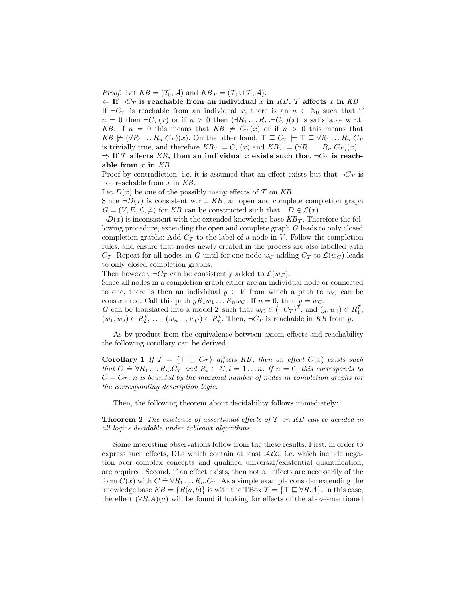*Proof.* Let  $KB = (T_0, \mathcal{A})$  and  $KB_T = (T_0 \cup T, \mathcal{A})$ .

 $\Leftarrow$  If  $\neg C_T$  is reachable from an individual x in KB, T affects x in KB

If  $\neg C_T$  is reachable from an individual x, there is an  $n \in \mathbb{N}_0$  such that if  $n = 0$  then  $\neg C_T(x)$  or if  $n > 0$  then  $(\exists R_1 \dots R_n \neg C_T)(x)$  is satisfiable w.r.t. KB. If  $n = 0$  this means that  $KB \not\models C_T(x)$  or if  $n > 0$  this means that  $KB \not\models (\forall R_1 \dots R_n.C_T)(x)$ . On the other hand,  $\top \sqsubseteq C_T \models \top \sqsubseteq \forall R_1 \dots R_n.C_T$ is trivially true, and therefore  $KB_T \models C_T(x)$  and  $KB_T \models (\forall R_1 \dots R_n.C_T)(x)$ .  $\Rightarrow$  If T affects KB, then an individual x exists such that  $\neg C_T$  is reach-

able from  $x$  in  $KB$ 

Proof by contradiction, i.e. it is assumed that an effect exists but that  $\neg C_T$  is not reachable from  $x$  in  $KB$ .

Let  $D(x)$  be one of the possibly many effects of T on KB.

Since  $\neg D(x)$  is consistent w.r.t. KB, an open and complete completion graph  $G = (V, E, \mathcal{L}, \neq)$  for KB can be constructed such that  $\neg D \in \mathcal{L}(x)$ .

 $\neg D(x)$  is inconsistent with the extended knowledge base  $KB<sub>T</sub>$ . Therefore the following procedure, extending the open and complete graph G leads to only closed completion graphs: Add  $C_T$  to the label of a node in V. Follow the completion rules, and ensure that nodes newly created in the process are also labelled with  $C_T$ . Repeat for all nodes in G until for one node  $w_C$  adding  $C_T$  to  $\mathcal{L}(w_C)$  leads to only closed completion graphs.

Then however,  $\neg C_T$  can be consistently added to  $\mathcal{L}(w_C)$ .

Since all nodes in a completion graph either are an individual node or connected to one, there is then an individual  $y \in V$  from which a path to  $w_C$  can be constructed. Call this path  $yR_1w_1...R_nw_C$ . If  $n=0$ , then  $y=w_C$ .

G can be translated into a model  $\mathcal{I}$  such that  $w_C \in (\neg C_T)^{\mathcal{I}}$ , and  $(y, w_1) \in R_1^{\mathcal{I}}$ ,  $(w_1, w_2) \in R_2^{\mathcal{I}}, \ldots, (w_{n-1}, w_C) \in R_n^{\mathcal{I}}$ . Then,  $\neg C_T$  is reachable in KB from y.

As by-product from the equivalence between axiom effects and reachability the following corollary can be derived.

**Corollary 1** If  $\mathcal{T} = {\mathcal{T} \subseteq C_T}$  affects KB, then an effect  $C(x)$  exists such that  $C = \forall R_1 \dots R_n$ .  $C_T$  and  $R_i \in \Sigma$ ,  $i = 1 \dots n$ . If  $n = 0$ , this corresponds to that  $C = \forall R_1 \dots R_n$ .  $C_T$  and  $R_i \in \Sigma$ ,  $i = 1 \dots n$ . If  $n = 0$ , this corresponds to  $C = C_T$ . *n* is bounded by the maximal number of nodes in completion graphs for the corresponding description logic.

Then, the following theorem about decidability follows immediately:

**Theorem 2** The existence of assertional effects of  $\mathcal T$  on KB can be decided in all logics decidable under tableaux algorithms.

Some interesting observations follow from the these results: First, in order to express such effects, DLs which contain at least  $ALC$ , i.e. which include negation over complex concepts and qualified universal/existential quantification, are required. Second, if an effect exists, then not all effects are necessarily of the form  $C(x)$  with  $C = \forall R_1 \dots R_n$ .  $C_T$ . As a simple example consider extending the knowledge base  $KB = \{R(a, b)\}\$ is with the TBox  $\mathcal{T} = \{\top \sqsubseteq \forall R.A\}$ . In this case, the effect  $(\forall R.A)(a)$  will be found if looking for effects of the above-mentioned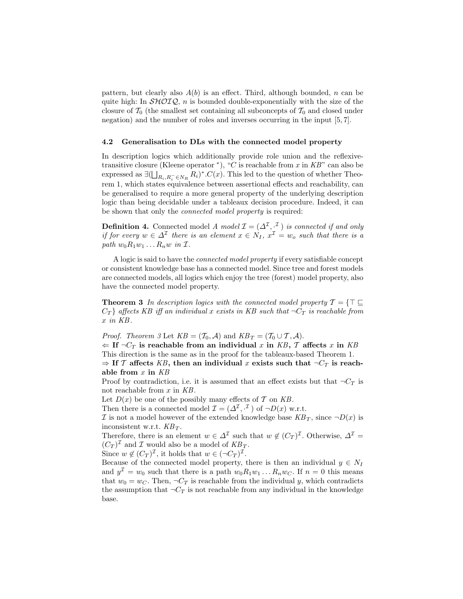pattern, but clearly also  $A(b)$  is an effect. Third, although bounded, n can be quite high: In  $\mathcal{SHOLQ}, n$  is bounded double-exponentially with the size of the closure of  $\mathcal{T}_0$  (the smallest set containing all subconcepts of  $\mathcal{T}_0$  and closed under negation) and the number of roles and inverses occurring in the input [5, 7].

#### 4.2 Generalisation to DLs with the connected model property

In description logics which additionally provide role union and the reflexivetransitive closure (Kleene operator  $\kappa$ ), "C is reachable from x in KB" can also be expressed as  $\exists (\bigsqcup_{R_i, R_i^- \in N_R} R_i)^*$ . C(x). This led to the question of whether Theorem 1, which states equivalence between assertional effects and reachability, can be generalised to require a more general property of the underlying description logic than being decidable under a tableaux decision procedure. Indeed, it can be shown that only the connected model property is required:

**Definition 4.** Connected model A model  $\mathcal{I} = (\Delta^{\mathcal{I}}, \mathcal{I})$  is connected if and only if for every  $w \in \Delta^{\mathcal{I}}$  there is an element  $x \in N_I$ ,  $x^{\mathcal{I}} = w_o$  such that there is a path  $w_0R_1w_1 \ldots R_nw$  in  $\mathcal{I}$ .

A logic is said to have the connected model property if every satisfiable concept or consistent knowledge base has a connected model. Since tree and forest models are connected models, all logics which enjoy the tree (forest) model property, also have the connected model property.

**Theorem 3** In description logics with the connected model property  $\mathcal{T} = \{T \sqsubseteq$  $C_T$  affects KB iff an individual x exists in KB such that  $\neg C_T$  is reachable from x in KB .

*Proof.* Theorem 3 Let  $KB = (T_0, \mathcal{A})$  and  $KB_T = (T_0 \cup T, \mathcal{A})$ .

 $\Leftarrow$  If  $\neg C_T$  is reachable from an individual x in KB, T affects x in KB This direction is the same as in the proof for the tableaux-based Theorem 1.  $\Rightarrow$  If T affects KB, then an individual x exists such that  $\neg C_T$  is reach-

able from  $x$  in  $KB$ 

Proof by contradiction, i.e. it is assumed that an effect exists but that  $\neg C_T$  is not reachable from x in KB.

Let  $D(x)$  be one of the possibly many effects of T on KB.

Then there is a connected model  $\mathcal{I} = (\Delta^{\mathcal{I}}, \cdot^{\mathcal{I}})$  of  $\neg D(x)$  w.r.t.

I is not a model however of the extended knowledge base  $KB_T$ , since  $\neg D(x)$  is inconsistent w.r.t. KB*<sup>T</sup>* .

Therefore, there is an element  $w \in \Delta^{\mathcal{I}}$  such that  $w \notin (C_T)^{\mathcal{I}}$ . Otherwise,  $\Delta^{\mathcal{I}} =$  $(C_T)^{\mathcal{I}}$  and  $\mathcal I$  would also be a model of  $KB_T$ .

Since  $w \notin (C_T)^{\mathcal{I}}$ , it holds that  $w \in (\neg C_T)^{\mathcal{I}}$ .

Because of the connected model property, there is then an individual  $y \in N_I$ and  $y^{\mathcal{I}} = w_0$  such that there is a path  $w_0 R_1 w_1 \dots R_n w_C$ . If  $n = 0$  this means that  $w_0 = w_C$ . Then,  $\neg C_T$  is reachable from the individual y, which contradicts the assumption that  $\neg C_T$  is not reachable from any individual in the knowledge base.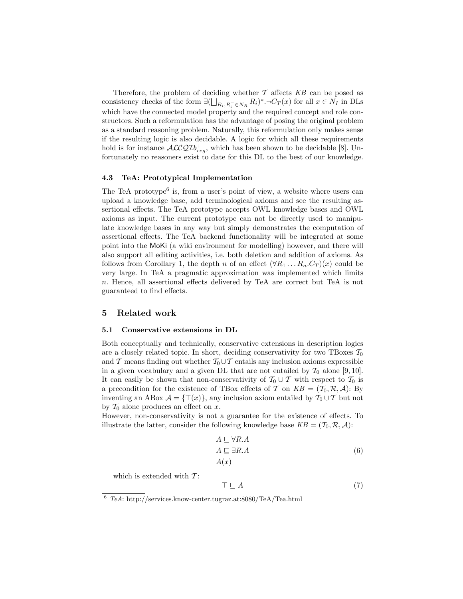Therefore, the problem of deciding whether  $\mathcal T$  affects  $KB$  can be posed as consistency checks of the form  $\exists (\bigsqcup_{R_i, R_i^- \in N_R} R_i)^* \neg C_T(x)$  for all  $x \in N_I$  in DLs which have the connected model property and the required concept and role constructors. Such a reformulation has the advantage of posing the original problem as a standard reasoning problem. Naturally, this reformulation only makes sense if the resulting logic is also decidable. A logic for which all these requirements hold is for instance  $\mathcal{ALCQI}b_{reg}^+$ , which has been shown to be decidable [8]. Unfortunately no reasoners exist to date for this DL to the best of our knowledge.

#### 4.3 TeA: Prototypical Implementation

The TeA prototype<sup>6</sup> is, from a user's point of view, a website where users can upload a knowledge base, add terminological axioms and see the resulting assertional effects. The TeA prototype accepts OWL knowledge bases and OWL axioms as input. The current prototype can not be directly used to manipulate knowledge bases in any way but simply demonstrates the computation of assertional effects. The TeA backend functionality will be integrated at some point into the MoKi (a wiki environment for modelling) however, and there will also support all editing activities, i.e. both deletion and addition of axioms. As follows from Corollary 1, the depth n of an effect  $(\forall R_1 \dots R_n.C_T)(x)$  could be very large. In TeA a pragmatic approximation was implemented which limits n. Hence, all assertional effects delivered by TeA are correct but TeA is not guaranteed to find effects.

#### 5 Related work

#### 5.1 Conservative extensions in DL

Both conceptually and technically, conservative extensions in description logics are a closely related topic. In short, deciding conservativity for two TBoxes  $\mathcal{T}_0$ and T means finding out whether  $T_0 \cup T$  entails any inclusion axioms expressible in a given vocabulary and a given DL that are not entailed by  $\mathcal{T}_0$  alone [9, 10]. It can easily be shown that non-conservativity of  $\mathcal{T}_0 \cup \mathcal{T}$  with respect to  $\mathcal{T}_0$  is a precondition for the existence of TBox effects of T on  $KB = (T_0, \mathcal{R}, \mathcal{A})$ : By inventing an ABox  $\mathcal{A} = {\{\top(x)\}}$ , any inclusion axiom entailed by  $\mathcal{T}_0 \cup \mathcal{T}$  but not by  $\mathcal{T}_0$  alone produces an effect on x.

However, non-conservativity is not a guarantee for the existence of effects. To illustrate the latter, consider the following knowledge base  $KB = (\mathcal{T}_0, \mathcal{R}, \mathcal{A})$ :

$$
A \sqsubseteq \forall R.A A \sqsubseteq \exists R.A A(x)
$$
 (6)

which is extended with  $T$ :

$$
\top \sqsubseteq A \tag{7}
$$

<sup>6</sup> *TeA*: http://services.know-center.tugraz.at:8080/TeA/Tea.html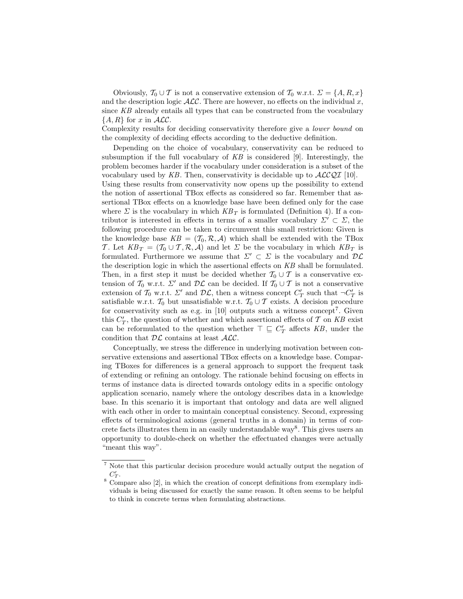Obviously,  $\mathcal{T}_0 \cup \mathcal{T}$  is not a conservative extension of  $\mathcal{T}_0$  w.r.t.  $\Sigma = \{A, R, x\}$ and the description logic  $\text{ALC}$ . There are however, no effects on the individual x, since KB already entails all types that can be constructed from the vocabulary  $\{A, R\}$  for x in  $\mathcal{ALC}$ .

Complexity results for deciding conservativity therefore give a lower bound on the complexity of deciding effects according to the deductive definition.

Depending on the choice of vocabulary, conservativity can be reduced to subsumption if the full vocabulary of  $KB$  is considered [9]. Interestingly, the problem becomes harder if the vocabulary under consideration is a subset of the vocabulary used by KB. Then, conservativity is decidable up to  $\mathcal{ALCQI}$  [10].

Using these results from conservativity now opens up the possibility to extend the notion of assertional TBox effects as considered so far. Remember that assertional TBox effects on a knowledge base have been defined only for the case where  $\Sigma$  is the vocabulary in which  $KB_T$  is formulated (Definition 4). If a contributor is interested in effects in terms of a smaller vocabulary  $\Sigma' \subset \Sigma$ , the following procedure can be taken to circumvent this small restriction: Given is the knowledge base  $KB = (T_0, R, A)$  which shall be extended with the TBox T. Let  $KB_T = (T_0 \cup T, R, A)$  and let  $\Sigma$  be the vocabulary in which  $KB_T$  is formulated. Furthermore we assume that  $\Sigma' \subset \Sigma$  is the vocabulary and  $\mathcal{DL}$ the description logic in which the assertional effects on KB shall be formulated. Then, in a first step it must be decided whether  $\mathcal{T}_0 \cup \mathcal{T}$  is a conservative extension of  $\mathcal{T}_0$  w.r.t.  $\Sigma'$  and  $\mathcal{DL}$  can be decided. If  $\mathcal{T}_0 \cup \mathcal{T}$  is not a conservative extension of  $\mathcal{T}_0$  w.r.t.  $\Sigma'$  and  $\mathcal{DL}$ , then a witness concept  $C'_T$  such that  $\neg C'_T$  is satisfiable w.r.t.  $\mathcal{T}_0$  but unsatisfiable w.r.t.  $\mathcal{T}_0 \cup \mathcal{T}$  exists. A decision procedure for conservativity such as e.g. in  $[10]$  outputs such a witness concept<sup>7</sup>. Given this  $C_T'$ , the question of whether and which assertional effects of  $\mathcal T$  on  $KB$  exist can be reformulated to the question whether  $\top \sqsubseteq C_T'$  affects KB, under the condition that  $\mathcal{DL}$  contains at least  $\mathcal{ALC}$ .

Conceptually, we stress the difference in underlying motivation between conservative extensions and assertional TBox effects on a knowledge base. Comparing TBoxes for differences is a general approach to support the frequent task of extending or refining an ontology. The rationale behind focusing on effects in terms of instance data is directed towards ontology edits in a specific ontology application scenario, namely where the ontology describes data in a knowledge base. In this scenario it is important that ontology and data are well aligned with each other in order to maintain conceptual consistency. Second, expressing effects of terminological axioms (general truths in a domain) in terms of concrete facts illustrates them in an easily understandable way<sup>8</sup>. This gives users an opportunity to double-check on whether the effectuated changes were actually "meant this way".

<sup>7</sup> Note that this particular decision procedure would actually output the negation of  $C_T'.$ 

<sup>&</sup>lt;sup>8</sup> Compare also [2], in which the creation of concept definitions from exemplary individuals is being discussed for exactly the same reason. It often seems to be helpful to think in concrete terms when formulating abstractions.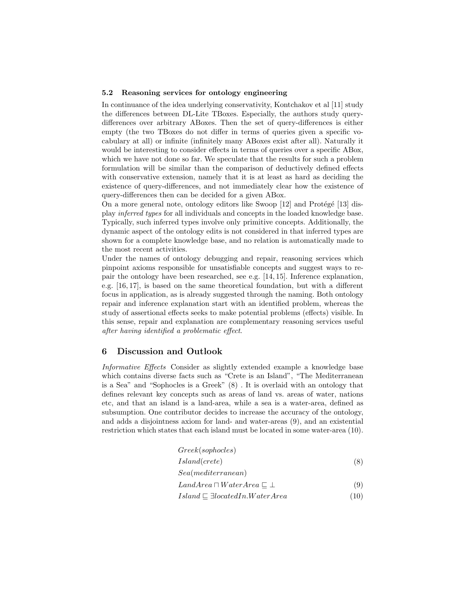#### 5.2 Reasoning services for ontology engineering

In continuance of the idea underlying conservativity, Kontchakov et al [11] study the differences between DL-Lite TBoxes. Especially, the authors study querydifferences over arbitrary ABoxes. Then the set of query-differences is either empty (the two TBoxes do not differ in terms of queries given a specific vocabulary at all) or infinite (infinitely many ABoxes exist after all). Naturally it would be interesting to consider effects in terms of queries over a specific ABox, which we have not done so far. We speculate that the results for such a problem formulation will be similar than the comparison of deductively defined effects with conservative extension, namely that it is at least as hard as deciding the existence of query-differences, and not immediately clear how the existence of query-differences then can be decided for a given ABox.

On a more general note, ontology editors like Swoop  $[12]$  and Protégé  $[13]$  display inferred types for all individuals and concepts in the loaded knowledge base. Typically, such inferred types involve only primitive concepts. Additionally, the dynamic aspect of the ontology edits is not considered in that inferred types are shown for a complete knowledge base, and no relation is automatically made to the most recent activities.

Under the names of ontology debugging and repair, reasoning services which pinpoint axioms responsible for unsatisfiable concepts and suggest ways to repair the ontology have been researched, see e.g. [14, 15]. Inference explanation, e.g. [16, 17], is based on the same theoretical foundation, but with a different focus in application, as is already suggested through the naming. Both ontology repair and inference explanation start with an identified problem, whereas the study of assertional effects seeks to make potential problems (effects) visible. In this sense, repair and explanation are complementary reasoning services useful after having identified a problematic effect.

## 6 Discussion and Outlook

Informative Effects Consider as slightly extended example a knowledge base which contains diverse facts such as "Crete is an Island", "The Mediterranean is a Sea" and "Sophocles is a Greek" (8) . It is overlaid with an ontology that defines relevant key concepts such as areas of land vs. areas of water, nations etc, and that an island is a land-area, while a sea is a water-area, defined as subsumption. One contributor decides to increase the accuracy of the ontology, and adds a disjointness axiom for land- and water-areas (9), and an existential restriction which states that each island must be located in some water-area (10).

| Greek(sophocles)                                 |      |
|--------------------------------------------------|------|
| <i>Island</i> ( <i>crete</i> )                   | (8)  |
| $\textit{Seq}$ (mediterranean)                   |      |
| $LandArea \sqcap WaterArea \sqsubset \bot$       | (9)  |
| $Island \sqsubseteq \exists locatedIn.WaterArea$ | (10) |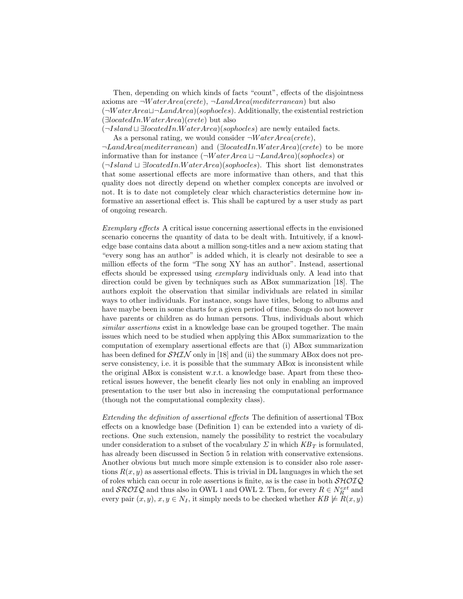Then, depending on which kinds of facts "count", effects of the disjointness axioms are  $\neg WaterArea(crete)$ ,  $\neg LandArea(mediterranean)$  but also  $(\neg WaterArea \sqcup \neg LandArea)(sophocles)$ . Additionally, the existential restriction  $(\exists locatedIn.WaterArea)(crete)$  but also  $(\neg Island \sqcup \exists locatedIn.WaterArea)(sophocles)$  are newly entailed facts.

As a personal rating, we would consider  $\neg WaterArea(crete)$ ,

¬LandArea(mediterranean) and (∃locatedIn.W aterArea)(crete) to be more informative than for instance  $(\neg WaterArea \sqcup \neg LandArea)(sophocles)$  or

 $(\neg Island \sqcup \exists locatedIn.WaterArea)(sophocles)$ . This short list demonstrates that some assertional effects are more informative than others, and that this quality does not directly depend on whether complex concepts are involved or not. It is to date not completely clear which characteristics determine how informative an assertional effect is. This shall be captured by a user study as part of ongoing research.

Exemplary effects A critical issue concerning assertional effects in the envisioned scenario concerns the quantity of data to be dealt with. Intuitively, if a knowledge base contains data about a million song-titles and a new axiom stating that "every song has an author" is added which, it is clearly not desirable to see a million effects of the form "The song XY has an author". Instead, assertional effects should be expressed using exemplary individuals only. A lead into that direction could be given by techniques such as ABox summarization [18]. The authors exploit the observation that similar individuals are related in similar ways to other individuals. For instance, songs have titles, belong to albums and have maybe been in some charts for a given period of time. Songs do not however have parents or children as do human persons. Thus, individuals about which similar assertions exist in a knowledge base can be grouped together. The main issues which need to be studied when applying this ABox summarization to the computation of exemplary assertional effects are that (i) ABox summarization has been defined for  $\mathcal{SHIN}$  only in [18] and (ii) the summary ABox does not preserve consistency, i.e. it is possible that the summary ABox is inconsistent while the original ABox is consistent w.r.t. a knowledge base. Apart from these theoretical issues however, the benefit clearly lies not only in enabling an improved presentation to the user but also in increasing the computational performance (though not the computational complexity class).

Extending the definition of assertional effects The definition of assertional TBox effects on a knowledge base (Definition 1) can be extended into a variety of directions. One such extension, namely the possibility to restrict the vocabulary under consideration to a subset of the vocabulary  $\Sigma$  in which  $KB_T$  is formulated, has already been discussed in Section 5 in relation with conservative extensions. Another obvious but much more simple extension is to consider also role assertions  $R(x, y)$  as assertional effects. This is trivial in DL languages in which the set of roles which can occur in role assertions is finite, as is the case in both  $\mathcal{SHOLQ}$ and  $\mathcal{SROTQ}$  and thus also in OWL 1 and OWL 2. Then, for every  $R \in N_R^{ext}$  and every pair  $(x, y), x, y \in N_I$ , it simply needs to be checked whether  $KB \not\models R(x, y)$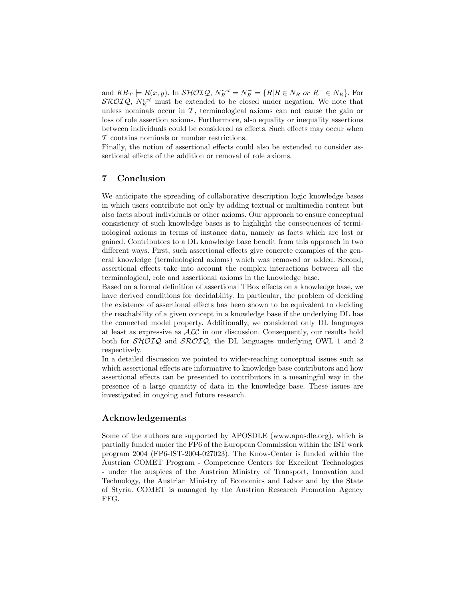and  $KB_T \models R(x, y)$ . In  $\mathcal{SHOIQ}, N_R^{ext} = N_R^- = \{R | R \in N_R \text{ or } R^- \in N_R \}$ . For  $\mathcal{SROIQ}, N_R^{ext}$  must be extended to be closed under negation. We note that unless nominals occur in  $\mathcal T$ , terminological axioms can not cause the gain or loss of role assertion axioms. Furthermore, also equality or inequality assertions between individuals could be considered as effects. Such effects may occur when T contains nominals or number restrictions.

Finally, the notion of assertional effects could also be extended to consider assertional effects of the addition or removal of role axioms.

# 7 Conclusion

We anticipate the spreading of collaborative description logic knowledge bases in which users contribute not only by adding textual or multimedia content but also facts about individuals or other axioms. Our approach to ensure conceptual consistency of such knowledge bases is to highlight the consequences of terminological axioms in terms of instance data, namely as facts which are lost or gained. Contributors to a DL knowledge base benefit from this approach in two different ways. First, such assertional effects give concrete examples of the general knowledge (terminological axioms) which was removed or added. Second, assertional effects take into account the complex interactions between all the terminological, role and assertional axioms in the knowledge base.

Based on a formal definition of assertional TBox effects on a knowledge base, we have derived conditions for decidability. In particular, the problem of deciding the existence of assertional effects has been shown to be equivalent to deciding the reachability of a given concept in a knowledge base if the underlying DL has the connected model property. Additionally, we considered only DL languages at least as expressive as  $ALC$  in our discussion. Consequently, our results hold both for  $\mathcal{SHOIQ}$  and  $\mathcal{SROIQ}$ , the DL languages underlying OWL 1 and 2 respectively.

In a detailed discussion we pointed to wider-reaching conceptual issues such as which assertional effects are informative to knowledge base contributors and how assertional effects can be presented to contributors in a meaningful way in the presence of a large quantity of data in the knowledge base. These issues are investigated in ongoing and future research.

# Acknowledgements

Some of the authors are supported by APOSDLE (www.aposdle.org), which is partially funded under the FP6 of the European Commission within the IST work program 2004 (FP6-IST-2004-027023). The Know-Center is funded within the Austrian COMET Program - Competence Centers for Excellent Technologies - under the auspices of the Austrian Ministry of Transport, Innovation and Technology, the Austrian Ministry of Economics and Labor and by the State of Styria. COMET is managed by the Austrian Research Promotion Agency FFG.